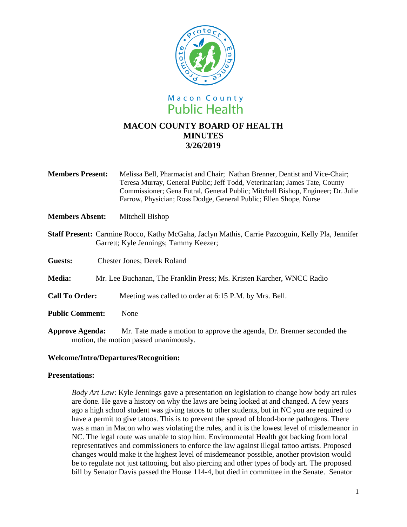

- **Members Present:** Melissa Bell, Pharmacist and Chair; Nathan Brenner, Dentist and Vice-Chair; Teresa Murray, General Public; Jeff Todd, Veterinarian; James Tate, County Commissioner; Gena Futral, General Public; Mitchell Bishop, Engineer; Dr. Julie Farrow, Physician; Ross Dodge, General Public; Ellen Shope, Nurse
- **Members Absent:** Mitchell Bishop
- **Staff Present:** Carmine Rocco, Kathy McGaha, Jaclyn Mathis, Carrie Pazcoguin, Kelly Pla, Jennifer Garrett; Kyle Jennings; Tammy Keezer;
- **Guests:** Chester Jones; Derek Roland
- **Media:** Mr. Lee Buchanan, The Franklin Press; Ms. Kristen Karcher, WNCC Radio
- **Call To Order:** Meeting was called to order at 6:15 P.M. by Mrs. Bell.
- **Public Comment:** None
- **Approve Agenda:** Mr. Tate made a motion to approve the agenda, Dr. Brenner seconded the motion, the motion passed unanimously.

## **Welcome/Intro/Departures/Recognition:**

## **Presentations:**

*Body Art Law*: Kyle Jennings gave a presentation on legislation to change how body art rules are done. He gave a history on why the laws are being looked at and changed. A few years ago a high school student was giving tatoos to other students, but in NC you are required to have a permit to give tatoos. This is to prevent the spread of blood-borne pathogens. There was a man in Macon who was violating the rules, and it is the lowest level of misdemeanor in NC. The legal route was unable to stop him. Environmental Health got backing from local representatives and commissioners to enforce the law against illegal tattoo artists. Proposed changes would make it the highest level of misdemeanor possible, another provision would be to regulate not just tattooing, but also piercing and other types of body art. The proposed bill by Senator Davis passed the House 114-4, but died in committee in the Senate. Senator